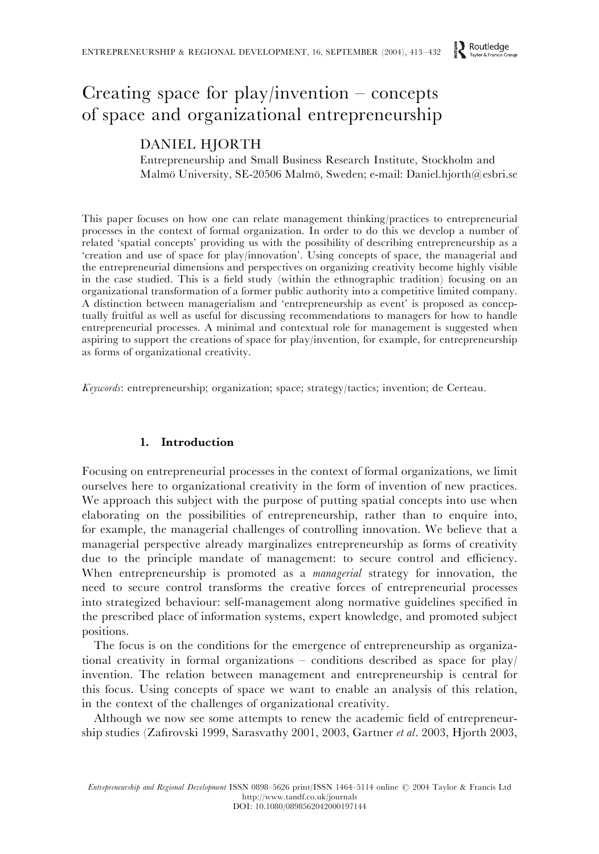# Creating space for play/invention – concepts of space and organizational entrepreneurship

# DANIEL HJORTH

Entrepreneurship and Small Business Research Institute, Stockholm and Malmö University, SE-20506 Malmö, Sweden; e-mail: Daniel.hjorth@esbri.se

This paper focuses on how one can relate management thinking/practices to entrepreneurial processes in the context of formal organization. In order to do this we develop a number of related 'spatial concepts' providing us with the possibility of describing entrepreneurship as a 'creation and use of space for play/innovation'. Using concepts of space, the managerial and the entrepreneurial dimensions and perspectives on organizing creativity become highly visible in the case studied. This is a field study (within the ethnographic tradition) focusing on an organizational transformation of a former public authority into a competitive limited company. A distinction between managerialism and 'entrepreneurship as event' is proposed as conceptually fruitful as well as useful for discussing recommendations to managers for how to handle entrepreneurial processes. A minimal and contextual role for management is suggested when aspiring to support the creations of space for play/invention, for example, for entrepreneurship as forms of organizational creativity.

Keywords: entrepreneurship; organization; space; strategy/tactics; invention; de Certeau.

# 1. Introduction

Focusing on entrepreneurial processes in the context of formal organizations, we limit ourselves here to organizational creativity in the form of invention of new practices. We approach this subject with the purpose of putting spatial concepts into use when elaborating on the possibilities of entrepreneurship, rather than to enquire into, for example, the managerial challenges of controlling innovation. We believe that a managerial perspective already marginalizes entrepreneurship as forms of creativity due to the principle mandate of management: to secure control and efficiency. When entrepreneurship is promoted as a *managerial* strategy for innovation, the need to secure control transforms the creative forces of entrepreneurial processes into strategized behaviour: self-management along normative guidelines specified in the prescribed place of information systems, expert knowledge, and promoted subject positions.

The focus is on the conditions for the emergence of entrepreneurship as organizational creativity in formal organizations – conditions described as space for play/ invention. The relation between management and entrepreneurship is central for this focus. Using concepts of space we want to enable an analysis of this relation, in the context of the challenges of organizational creativity.

Although we now see some attempts to renew the academic field of entrepreneurship studies (Zafirovski 1999, Sarasvathy 2001, 2003, Gartner et al. 2003, Hjorth 2003,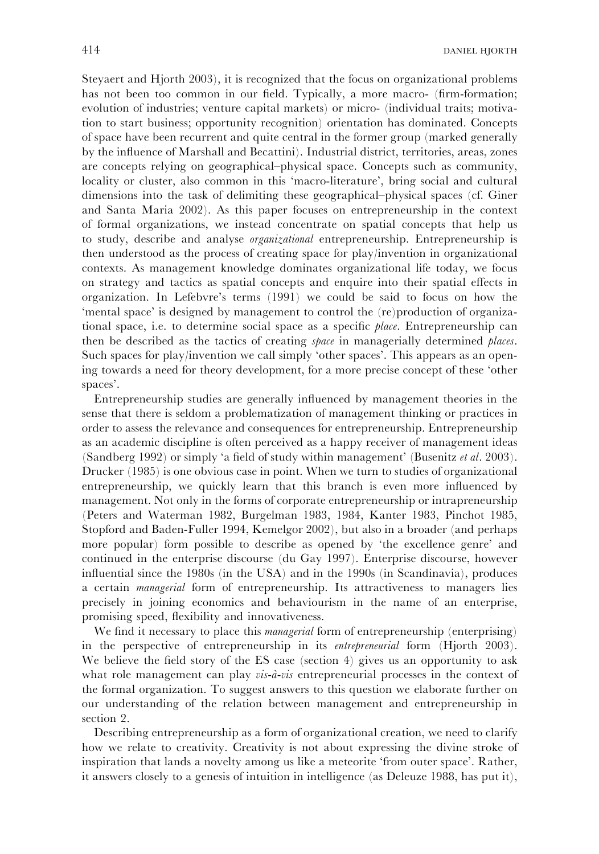Steyaert and Hjorth 2003), it is recognized that the focus on organizational problems has not been too common in our field. Typically, a more macro- (firm-formation; evolution of industries; venture capital markets) or micro- (individual traits; motivation to start business; opportunity recognition) orientation has dominated. Concepts of space have been recurrent and quite central in the former group (marked generally by the influence of Marshall and Becattini). Industrial district, territories, areas, zones are concepts relying on geographical–physical space. Concepts such as community, locality or cluster, also common in this 'macro-literature', bring social and cultural dimensions into the task of delimiting these geographical–physical spaces (cf. Giner and Santa Maria 2002). As this paper focuses on entrepreneurship in the context of formal organizations, we instead concentrate on spatial concepts that help us to study, describe and analyse organizational entrepreneurship. Entrepreneurship is then understood as the process of creating space for play/invention in organizational contexts. As management knowledge dominates organizational life today, we focus on strategy and tactics as spatial concepts and enquire into their spatial effects in organization. In Lefebvre's terms (1991) we could be said to focus on how the 'mental space' is designed by management to control the (re)production of organizational space, i.e. to determine social space as a specific *place*. Entrepreneurship can then be described as the tactics of creating *space* in managerially determined *places*. Such spaces for play/invention we call simply 'other spaces'. This appears as an opening towards a need for theory development, for a more precise concept of these 'other spaces'.

Entrepreneurship studies are generally influenced by management theories in the sense that there is seldom a problematization of management thinking or practices in order to assess the relevance and consequences for entrepreneurship. Entrepreneurship as an academic discipline is often perceived as a happy receiver of management ideas (Sandberg 1992) or simply 'a field of study within management' (Busenitz et al. 2003). Drucker (1985) is one obvious case in point. When we turn to studies of organizational entrepreneurship, we quickly learn that this branch is even more influenced by management. Not only in the forms of corporate entrepreneurship or intrapreneurship (Peters and Waterman 1982, Burgelman 1983, 1984, Kanter 1983, Pinchot 1985, Stopford and Baden-Fuller 1994, Kemelgor 2002), but also in a broader (and perhaps more popular) form possible to describe as opened by 'the excellence genre' and continued in the enterprise discourse (du Gay 1997). Enterprise discourse, however influential since the 1980s (in the USA) and in the 1990s (in Scandinavia), produces a certain managerial form of entrepreneurship. Its attractiveness to managers lies precisely in joining economics and behaviourism in the name of an enterprise, promising speed, flexibility and innovativeness.

We find it necessary to place this *managerial* form of entrepreneurship (enterprising) in the perspective of entrepreneurship in its entrepreneurial form (Hjorth 2003). We believe the field story of the ES case (section 4) gives us an opportunity to ask what role management can play vis-à-vis entrepreneurial processes in the context of the formal organization. To suggest answers to this question we elaborate further on our understanding of the relation between management and entrepreneurship in section 2.

Describing entrepreneurship as a form of organizational creation, we need to clarify how we relate to creativity. Creativity is not about expressing the divine stroke of inspiration that lands a novelty among us like a meteorite 'from outer space'. Rather, it answers closely to a genesis of intuition in intelligence (as Deleuze 1988, has put it),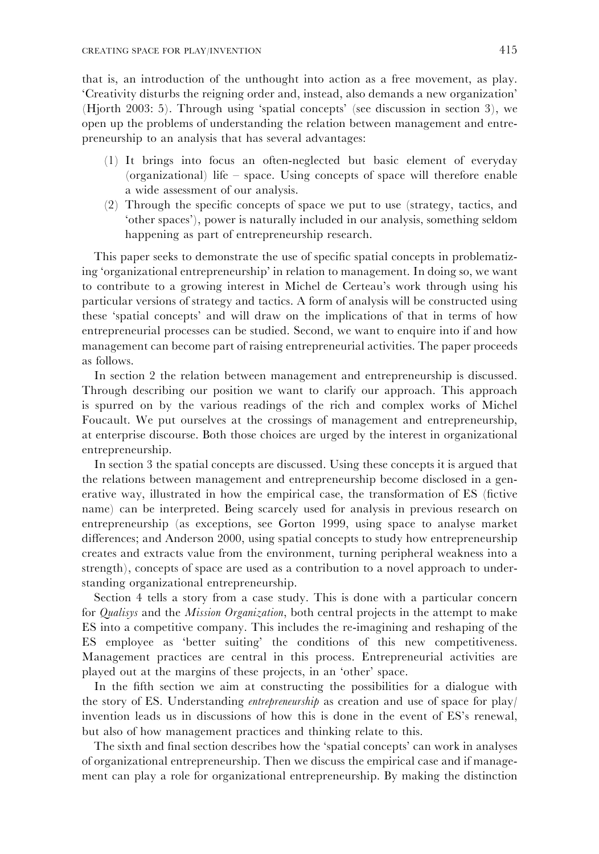that is, an introduction of the unthought into action as a free movement, as play. 'Creativity disturbs the reigning order and, instead, also demands a new organization' (Hjorth 2003: 5). Through using 'spatial concepts' (see discussion in section 3), we open up the problems of understanding the relation between management and entrepreneurship to an analysis that has several advantages:

- (1) It brings into focus an often-neglected but basic element of everyday (organizational) life – space. Using concepts of space will therefore enable a wide assessment of our analysis.
- (2) Through the specific concepts of space we put to use (strategy, tactics, and 'other spaces'), power is naturally included in our analysis, something seldom happening as part of entrepreneurship research.

This paper seeks to demonstrate the use of specific spatial concepts in problematizing 'organizational entrepreneurship' in relation to management. In doing so, we want to contribute to a growing interest in Michel de Certeau's work through using his particular versions of strategy and tactics. A form of analysis will be constructed using these 'spatial concepts' and will draw on the implications of that in terms of how entrepreneurial processes can be studied. Second, we want to enquire into if and how management can become part of raising entrepreneurial activities. The paper proceeds as follows.

In section 2 the relation between management and entrepreneurship is discussed. Through describing our position we want to clarify our approach. This approach is spurred on by the various readings of the rich and complex works of Michel Foucault. We put ourselves at the crossings of management and entrepreneurship, at enterprise discourse. Both those choices are urged by the interest in organizational entrepreneurship.

In section 3 the spatial concepts are discussed. Using these concepts it is argued that the relations between management and entrepreneurship become disclosed in a generative way, illustrated in how the empirical case, the transformation of ES (fictive name) can be interpreted. Being scarcely used for analysis in previous research on entrepreneurship (as exceptions, see Gorton 1999, using space to analyse market differences; and Anderson 2000, using spatial concepts to study how entrepreneurship creates and extracts value from the environment, turning peripheral weakness into a strength), concepts of space are used as a contribution to a novel approach to understanding organizational entrepreneurship.

Section 4 tells a story from a case study. This is done with a particular concern for *Qualisys* and the *Mission Organization*, both central projects in the attempt to make ES into a competitive company. This includes the re-imagining and reshaping of the ES employee as 'better suiting' the conditions of this new competitiveness. Management practices are central in this process. Entrepreneurial activities are played out at the margins of these projects, in an 'other' space.

In the fifth section we aim at constructing the possibilities for a dialogue with the story of ES. Understanding *entrepreneurship* as creation and use of space for play/ invention leads us in discussions of how this is done in the event of ES's renewal, but also of how management practices and thinking relate to this.

The sixth and final section describes how the 'spatial concepts' can work in analyses of organizational entrepreneurship. Then we discuss the empirical case and if management can play a role for organizational entrepreneurship. By making the distinction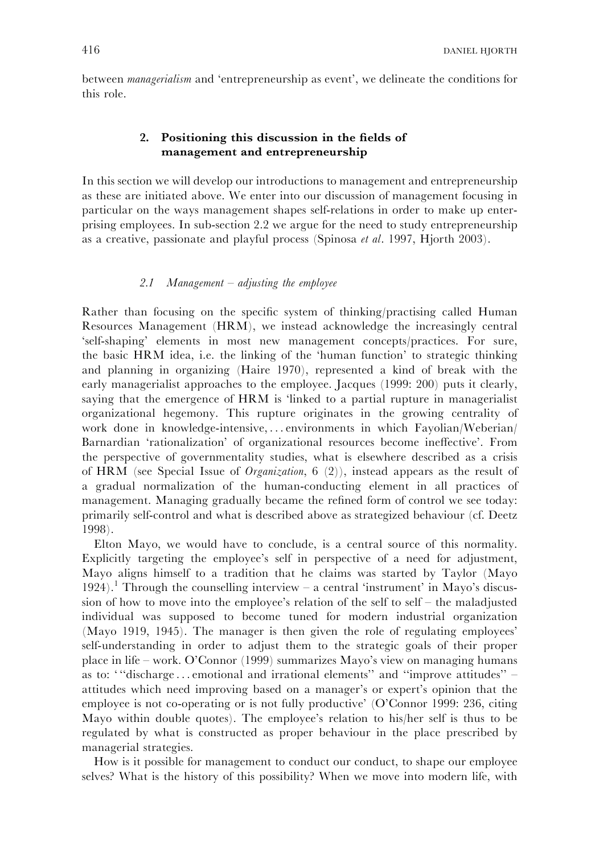between managerialism and 'entrepreneurship as event', we delineate the conditions for this role.

# 2. Positioning this discussion in the fields of management and entrepreneurship

In this section we will develop our introductions to management and entrepreneurship as these are initiated above. We enter into our discussion of management focusing in particular on the ways management shapes self-relations in order to make up enterprising employees. In sub-section 2.2 we argue for the need to study entrepreneurship as a creative, passionate and playful process (Spinosa et al. 1997, Hjorth 2003).

### 2.1 Management – adjusting the employee

Rather than focusing on the specific system of thinking/practising called Human Resources Management (HRM), we instead acknowledge the increasingly central 'self-shaping' elements in most new management concepts/practices. For sure, the basic HRM idea, i.e. the linking of the 'human function' to strategic thinking and planning in organizing (Haire 1970), represented a kind of break with the early managerialist approaches to the employee. Jacques (1999: 200) puts it clearly, saying that the emergence of HRM is 'linked to a partial rupture in managerialist organizational hegemony. This rupture originates in the growing centrality of work done in knowledge-intensive, ... environments in which Fayolian/Weberian/ Barnardian 'rationalization' of organizational resources become ineffective'. From the perspective of governmentality studies, what is elsewhere described as a crisis of HRM (see Special Issue of *Organization*,  $6(2)$ ), instead appears as the result of a gradual normalization of the human-conducting element in all practices of management. Managing gradually became the refined form of control we see today: primarily self-control and what is described above as strategized behaviour (cf. Deetz 1998).

Elton Mayo, we would have to conclude, is a central source of this normality. Explicitly targeting the employee's self in perspective of a need for adjustment, Mayo aligns himself to a tradition that he claims was started by Taylor (Mayo 1924).<sup>1</sup> Through the counselling interview – a central 'instrument' in Mayo's discussion of how to move into the employee's relation of the self to self – the maladjusted individual was supposed to become tuned for modern industrial organization (Mayo 1919, 1945). The manager is then given the role of regulating employees' self-understanding in order to adjust them to the strategic goals of their proper place in life – work. O'Connor (1999) summarizes Mayo's view on managing humans as to: ' ''discharge ... emotional and irrational elements'' and ''improve attitudes'' – attitudes which need improving based on a manager's or expert's opinion that the employee is not co-operating or is not fully productive' (O'Connor 1999: 236, citing Mayo within double quotes). The employee's relation to his/her self is thus to be regulated by what is constructed as proper behaviour in the place prescribed by managerial strategies.

How is it possible for management to conduct our conduct, to shape our employee selves? What is the history of this possibility? When we move into modern life, with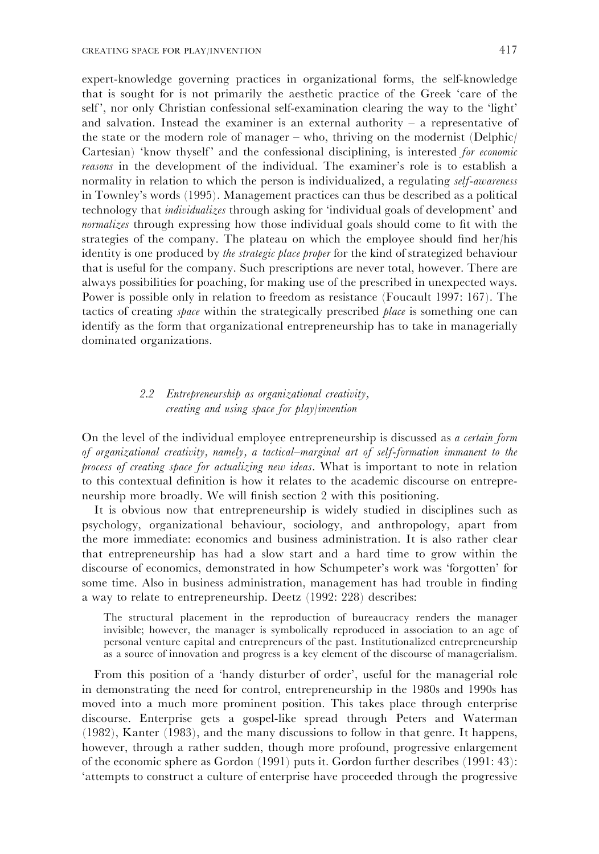expert-knowledge governing practices in organizational forms, the self-knowledge that is sought for is not primarily the aesthetic practice of the Greek 'care of the self', nor only Christian confessional self-examination clearing the way to the 'light' and salvation. Instead the examiner is an external authority – a representative of the state or the modern role of manager – who, thriving on the modernist (Delphic/ Cartesian) 'know thyself' and the confessional disciplining, is interested for economic reasons in the development of the individual. The examiner's role is to establish a normality in relation to which the person is individualized, a regulating *self-awareness* in Townley's words (1995). Management practices can thus be described as a political technology that individualizes through asking for 'individual goals of development' and normalizes through expressing how those individual goals should come to fit with the strategies of the company. The plateau on which the employee should find her/his identity is one produced by the strategic place proper for the kind of strategized behaviour that is useful for the company. Such prescriptions are never total, however. There are always possibilities for poaching, for making use of the prescribed in unexpected ways. Power is possible only in relation to freedom as resistance (Foucault 1997: 167). The tactics of creating *space* within the strategically prescribed *place* is something one can identify as the form that organizational entrepreneurship has to take in managerially dominated organizations.

# 2.2 Entrepreneurship as organizational creativity, creating and using space for play/invention

On the level of the individual employee entrepreneurship is discussed as a certain form of organizational creativity, namely, a tactical–marginal art of self-formation immanent to the process of creating space for actualizing new ideas. What is important to note in relation to this contextual definition is how it relates to the academic discourse on entrepreneurship more broadly. We will finish section 2 with this positioning.

It is obvious now that entrepreneurship is widely studied in disciplines such as psychology, organizational behaviour, sociology, and anthropology, apart from the more immediate: economics and business administration. It is also rather clear that entrepreneurship has had a slow start and a hard time to grow within the discourse of economics, demonstrated in how Schumpeter's work was 'forgotten' for some time. Also in business administration, management has had trouble in finding a way to relate to entrepreneurship. Deetz (1992: 228) describes:

The structural placement in the reproduction of bureaucracy renders the manager invisible; however, the manager is symbolically reproduced in association to an age of personal venture capital and entrepreneurs of the past. Institutionalized entrepreneurship as a source of innovation and progress is a key element of the discourse of managerialism.

From this position of a 'handy disturber of order', useful for the managerial role in demonstrating the need for control, entrepreneurship in the 1980s and 1990s has moved into a much more prominent position. This takes place through enterprise discourse. Enterprise gets a gospel-like spread through Peters and Waterman (1982), Kanter (1983), and the many discussions to follow in that genre. It happens, however, through a rather sudden, though more profound, progressive enlargement of the economic sphere as Gordon (1991) puts it. Gordon further describes (1991: 43): 'attempts to construct a culture of enterprise have proceeded through the progressive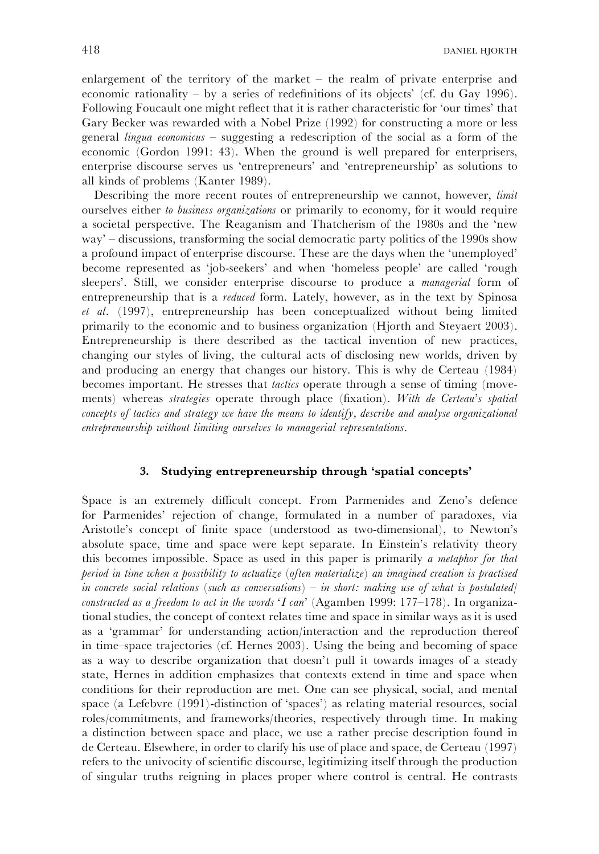418 DANIEL HJORTH

enlargement of the territory of the market – the realm of private enterprise and economic rationality – by a series of redefinitions of its objects' (cf. du Gay 1996). Following Foucault one might reflect that it is rather characteristic for 'our times' that Gary Becker was rewarded with a Nobel Prize (1992) for constructing a more or less general *lingua economicus –* suggesting a redescription of the social as a form of the economic (Gordon 1991: 43). When the ground is well prepared for enterprisers, enterprise discourse serves us 'entrepreneurs' and 'entrepreneurship' as solutions to all kinds of problems (Kanter 1989).

Describing the more recent routes of entrepreneurship we cannot, however, *limit* ourselves either to business organizations or primarily to economy, for it would require a societal perspective. The Reaganism and Thatcherism of the 1980s and the 'new way' – discussions, transforming the social democratic party politics of the 1990s show a profound impact of enterprise discourse. These are the days when the 'unemployed' become represented as 'job-seekers' and when 'homeless people' are called 'rough sleepers'. Still, we consider enterprise discourse to produce a *managerial* form of entrepreneurship that is a reduced form. Lately, however, as in the text by Spinosa et al. (1997), entrepreneurship has been conceptualized without being limited primarily to the economic and to business organization (Hjorth and Steyaert 2003). Entrepreneurship is there described as the tactical invention of new practices, changing our styles of living, the cultural acts of disclosing new worlds, driven by and producing an energy that changes our history. This is why de Certeau (1984) becomes important. He stresses that tactics operate through a sense of timing (movements) whereas *strategies* operate through place (fixation). With de Certeau's spatial concepts of tactics and strategy we have the means to identify, describe and analyse organizational entrepreneurship without limiting ourselves to managerial representations.

### 3. Studying entrepreneurship through 'spatial concepts'

Space is an extremely difficult concept. From Parmenides and Zeno's defence for Parmenides' rejection of change, formulated in a number of paradoxes, via Aristotle's concept of finite space (understood as two-dimensional), to Newton's absolute space, time and space were kept separate. In Einstein's relativity theory this becomes impossible. Space as used in this paper is primarily a metaphor for that period in time when a possibility to actualize (often materialize) an imagined creation is practised in concrete social relations (such as conversations) – in short: making use of what is postulated constructed as a freedom to act in the words  $I can'$  (Agamben 1999: 177–178). In organizational studies, the concept of context relates time and space in similar ways as it is used as a 'grammar' for understanding action/interaction and the reproduction thereof in time–space trajectories (cf. Hernes 2003). Using the being and becoming of space as a way to describe organization that doesn't pull it towards images of a steady state, Hernes in addition emphasizes that contexts extend in time and space when conditions for their reproduction are met. One can see physical, social, and mental space (a Lefebvre (1991)-distinction of 'spaces') as relating material resources, social roles/commitments, and frameworks/theories, respectively through time. In making a distinction between space and place, we use a rather precise description found in de Certeau. Elsewhere, in order to clarify his use of place and space, de Certeau (1997) refers to the univocity of scientific discourse, legitimizing itself through the production of singular truths reigning in places proper where control is central. He contrasts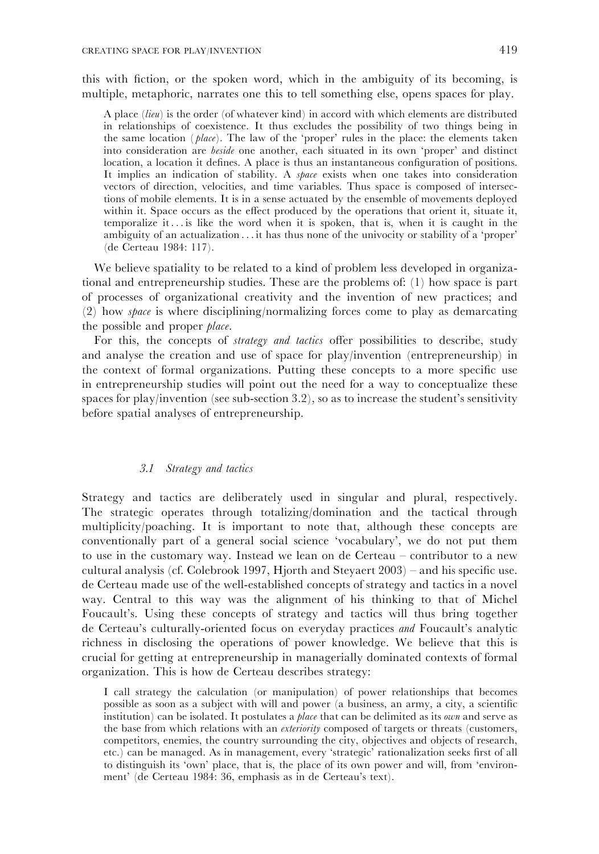this with fiction, or the spoken word, which in the ambiguity of its becoming, is multiple, metaphoric, narrates one this to tell something else, opens spaces for play.

A place (lieu) is the order (of whatever kind) in accord with which elements are distributed in relationships of coexistence. It thus excludes the possibility of two things being in the same location ( $place$ ). The law of the 'proper' rules in the place: the elements taken into consideration are beside one another, each situated in its own 'proper' and distinct location, a location it defines. A place is thus an instantaneous configuration of positions. It implies an indication of stability. A space exists when one takes into consideration vectors of direction, velocities, and time variables. Thus space is composed of intersections of mobile elements. It is in a sense actuated by the ensemble of movements deployed within it. Space occurs as the effect produced by the operations that orient it, situate it, temporalize it... is like the word when it is spoken, that is, when it is caught in the ambiguity of an actualization ... it has thus none of the univocity or stability of a 'proper' (de Certeau 1984: 117).

We believe spatiality to be related to a kind of problem less developed in organizational and entrepreneurship studies. These are the problems of: (1) how space is part of processes of organizational creativity and the invention of new practices; and (2) how space is where disciplining/normalizing forces come to play as demarcating the possible and proper *place*.

For this, the concepts of *strategy and tactics* offer possibilities to describe, study and analyse the creation and use of space for play/invention (entrepreneurship) in the context of formal organizations. Putting these concepts to a more specific use in entrepreneurship studies will point out the need for a way to conceptualize these spaces for play/invention (see sub-section 3.2), so as to increase the student's sensitivity before spatial analyses of entrepreneurship.

#### 3.1 Strategy and tactics

Strategy and tactics are deliberately used in singular and plural, respectively. The strategic operates through totalizing/domination and the tactical through multiplicity/poaching. It is important to note that, although these concepts are conventionally part of a general social science 'vocabulary', we do not put them to use in the customary way. Instead we lean on de Certeau – contributor to a new cultural analysis (cf. Colebrook 1997, Hjorth and Steyaert 2003) – and his specific use. de Certeau made use of the well-established concepts of strategy and tactics in a novel way. Central to this way was the alignment of his thinking to that of Michel Foucault's. Using these concepts of strategy and tactics will thus bring together de Certeau's culturally-oriented focus on everyday practices and Foucault's analytic richness in disclosing the operations of power knowledge. We believe that this is crucial for getting at entrepreneurship in managerially dominated contexts of formal organization. This is how de Certeau describes strategy:

I call strategy the calculation (or manipulation) of power relationships that becomes possible as soon as a subject with will and power (a business, an army, a city, a scientific institution) can be isolated. It postulates a *place* that can be delimited as its *own* and serve as the base from which relations with an exteriority composed of targets or threats (customers, competitors, enemies, the country surrounding the city, objectives and objects of research, etc.) can be managed. As in management, every 'strategic' rationalization seeks first of all to distinguish its 'own' place, that is, the place of its own power and will, from 'environment' (de Certeau 1984: 36, emphasis as in de Certeau's text).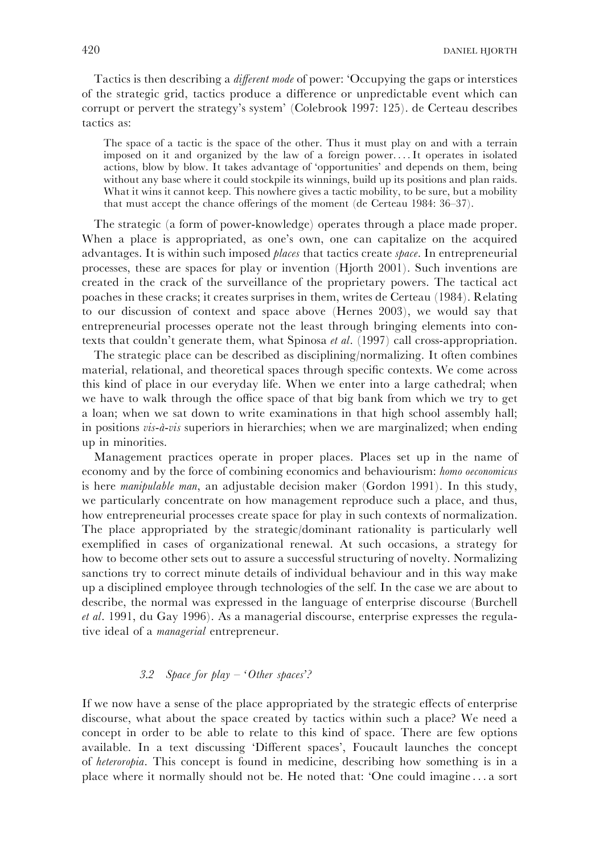Tactics is then describing a different mode of power: 'Occupying the gaps or interstices of the strategic grid, tactics produce a difference or unpredictable event which can corrupt or pervert the strategy's system' (Colebrook 1997: 125). de Certeau describes tactics as:

The space of a tactic is the space of the other. Thus it must play on and with a terrain imposed on it and organized by the law of a foreign power. ... It operates in isolated actions, blow by blow. It takes advantage of 'opportunities' and depends on them, being without any base where it could stockpile its winnings, build up its positions and plan raids. What it wins it cannot keep. This nowhere gives a tactic mobility, to be sure, but a mobility that must accept the chance offerings of the moment (de Certeau 1984: 36–37).

The strategic (a form of power-knowledge) operates through a place made proper. When a place is appropriated, as one's own, one can capitalize on the acquired advantages. It is within such imposed places that tactics create space. In entrepreneurial processes, these are spaces for play or invention (Hjorth 2001). Such inventions are created in the crack of the surveillance of the proprietary powers. The tactical act poaches in these cracks; it creates surprises in them, writes de Certeau (1984). Relating to our discussion of context and space above (Hernes 2003), we would say that entrepreneurial processes operate not the least through bringing elements into contexts that couldn't generate them, what Spinosa *et al.* (1997) call cross-appropriation.

The strategic place can be described as disciplining/normalizing. It often combines material, relational, and theoretical spaces through specific contexts. We come across this kind of place in our everyday life. When we enter into a large cathedral; when we have to walk through the office space of that big bank from which we try to get a loan; when we sat down to write examinations in that high school assembly hall; in positions  $vis\text{-}a\text{-}vis$  superiors in hierarchies; when we are marginalized; when ending up in minorities.

Management practices operate in proper places. Places set up in the name of economy and by the force of combining economics and behaviourism: homo oeconomicus is here manipulable man, an adjustable decision maker (Gordon 1991). In this study, we particularly concentrate on how management reproduce such a place, and thus, how entrepreneurial processes create space for play in such contexts of normalization. The place appropriated by the strategic/dominant rationality is particularly well exemplified in cases of organizational renewal. At such occasions, a strategy for how to become other sets out to assure a successful structuring of novelty. Normalizing sanctions try to correct minute details of individual behaviour and in this way make up a disciplined employee through technologies of the self. In the case we are about to describe, the normal was expressed in the language of enterprise discourse (Burchell et al. 1991, du Gay 1996). As a managerial discourse, enterprise expresses the regulative ideal of a *managerial* entrepreneur.

# 3.2 Space for play  $-$  'Other spaces'?

If we now have a sense of the place appropriated by the strategic effects of enterprise discourse, what about the space created by tactics within such a place? We need a concept in order to be able to relate to this kind of space. There are few options available. In a text discussing 'Different spaces', Foucault launches the concept of heteroropia. This concept is found in medicine, describing how something is in a place where it normally should not be. He noted that: 'One could imagine ... a sort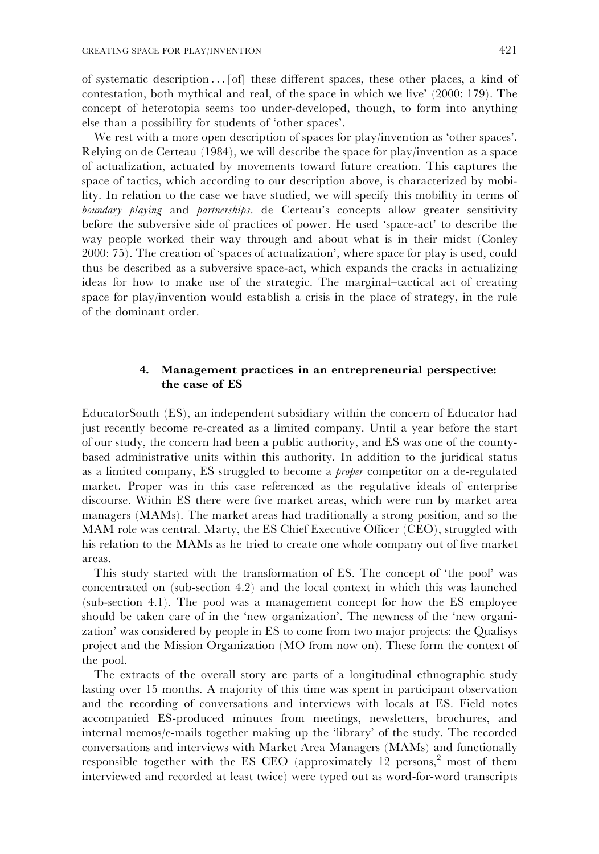of systematic description ...[of] these different spaces, these other places, a kind of contestation, both mythical and real, of the space in which we live' (2000: 179). The concept of heterotopia seems too under-developed, though, to form into anything else than a possibility for students of 'other spaces'.

We rest with a more open description of spaces for play/invention as 'other spaces'. Relying on de Certeau (1984), we will describe the space for play/invention as a space of actualization, actuated by movements toward future creation. This captures the space of tactics, which according to our description above, is characterized by mobility. In relation to the case we have studied, we will specify this mobility in terms of boundary playing and partnerships. de Certeau's concepts allow greater sensitivity before the subversive side of practices of power. He used 'space-act' to describe the way people worked their way through and about what is in their midst (Conley 2000: 75). The creation of 'spaces of actualization', where space for play is used, could thus be described as a subversive space-act, which expands the cracks in actualizing ideas for how to make use of the strategic. The marginal–tactical act of creating space for play/invention would establish a crisis in the place of strategy, in the rule of the dominant order.

# 4. Management practices in an entrepreneurial perspective: the case of ES

EducatorSouth (ES), an independent subsidiary within the concern of Educator had just recently become re-created as a limited company. Until a year before the start of our study, the concern had been a public authority, and ES was one of the countybased administrative units within this authority. In addition to the juridical status as a limited company, ES struggled to become a proper competitor on a de-regulated market. Proper was in this case referenced as the regulative ideals of enterprise discourse. Within ES there were five market areas, which were run by market area managers (MAMs). The market areas had traditionally a strong position, and so the MAM role was central. Marty, the ES Chief Executive Officer (CEO), struggled with his relation to the MAMs as he tried to create one whole company out of five market areas.

This study started with the transformation of ES. The concept of 'the pool' was concentrated on (sub-section 4.2) and the local context in which this was launched (sub-section 4.1). The pool was a management concept for how the ES employee should be taken care of in the 'new organization'. The newness of the 'new organization' was considered by people in ES to come from two major projects: the Qualisys project and the Mission Organization (MO from now on). These form the context of the pool.

The extracts of the overall story are parts of a longitudinal ethnographic study lasting over 15 months. A majority of this time was spent in participant observation and the recording of conversations and interviews with locals at ES. Field notes accompanied ES-produced minutes from meetings, newsletters, brochures, and internal memos/e-mails together making up the 'library' of the study. The recorded conversations and interviews with Market Area Managers (MAMs) and functionally responsible together with the ES CEO (approximately 12 persons, $\frac{2}{3}$  most of them interviewed and recorded at least twice) were typed out as word-for-word transcripts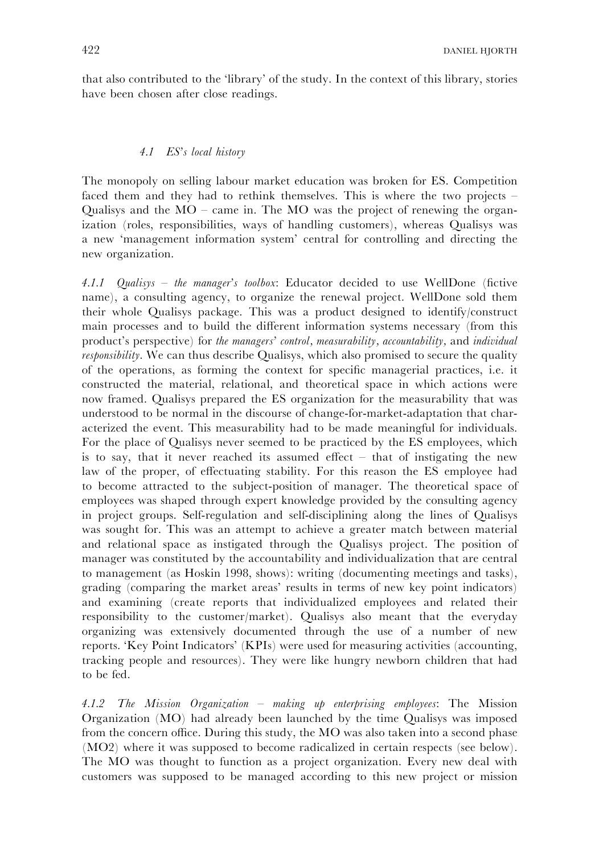that also contributed to the 'library' of the study. In the context of this library, stories have been chosen after close readings.

### 4.1 ES's local history

The monopoly on selling labour market education was broken for ES. Competition faced them and they had to rethink themselves. This is where the two projects – Qualisys and the MO – came in. The MO was the project of renewing the organization (roles, responsibilities, ways of handling customers), whereas Qualisys was a new 'management information system' central for controlling and directing the new organization.

4.1.1 Qualisys – the manager's toolbox: Educator decided to use WellDone (fictive name), a consulting agency, to organize the renewal project. WellDone sold them their whole Qualisys package. This was a product designed to identify/construct main processes and to build the different information systems necessary (from this product's perspective) for the managers' control, measurability, accountability, and individual responsibility. We can thus describe Qualisys, which also promised to secure the quality of the operations, as forming the context for specific managerial practices, i.e. it constructed the material, relational, and theoretical space in which actions were now framed. Qualisys prepared the ES organization for the measurability that was understood to be normal in the discourse of change-for-market-adaptation that characterized the event. This measurability had to be made meaningful for individuals. For the place of Qualisys never seemed to be practiced by the ES employees, which is to say, that it never reached its assumed effect – that of instigating the new law of the proper, of effectuating stability. For this reason the ES employee had to become attracted to the subject-position of manager. The theoretical space of employees was shaped through expert knowledge provided by the consulting agency in project groups. Self-regulation and self-disciplining along the lines of Qualisys was sought for. This was an attempt to achieve a greater match between material and relational space as instigated through the Qualisys project. The position of manager was constituted by the accountability and individualization that are central to management (as Hoskin 1998, shows): writing (documenting meetings and tasks), grading (comparing the market areas' results in terms of new key point indicators) and examining (create reports that individualized employees and related their responsibility to the customer/market). Qualisys also meant that the everyday organizing was extensively documented through the use of a number of new reports. 'Key Point Indicators' (KPIs) were used for measuring activities (accounting, tracking people and resources). They were like hungry newborn children that had to be fed.

4.1.2 The Mission Organization – making up enterprising employees: The Mission Organization (MO) had already been launched by the time Qualisys was imposed from the concern office. During this study, the MO was also taken into a second phase (MO2) where it was supposed to become radicalized in certain respects (see below). The MO was thought to function as a project organization. Every new deal with customers was supposed to be managed according to this new project or mission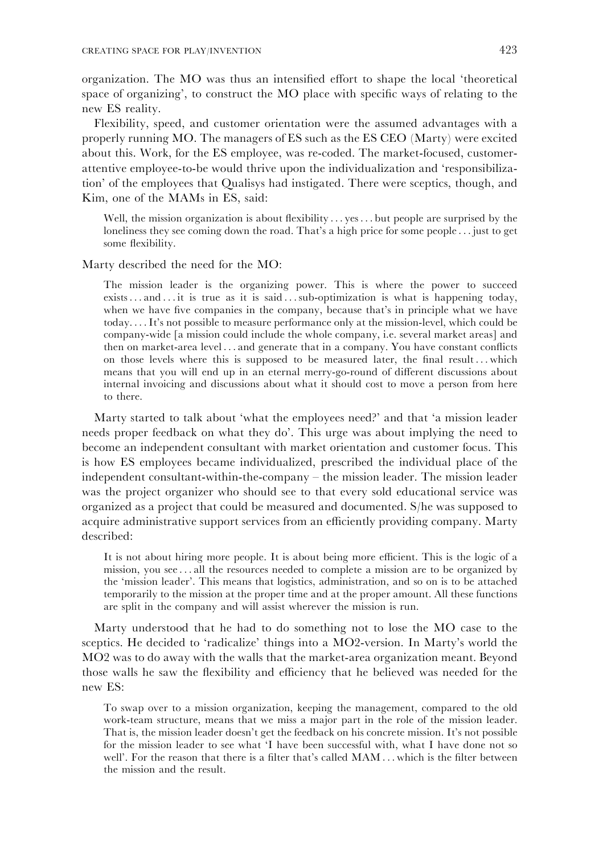organization. The MO was thus an intensified effort to shape the local 'theoretical space of organizing', to construct the MO place with specific ways of relating to the new ES reality.

Flexibility, speed, and customer orientation were the assumed advantages with a properly running MO. The managers of ES such as the ES CEO (Marty) were excited about this. Work, for the ES employee, was re-coded. The market-focused, customerattentive employee-to-be would thrive upon the individualization and 'responsibilization' of the employees that Qualisys had instigated. There were sceptics, though, and Kim, one of the MAMs in ES, said:

Well, the mission organization is about flexibility ... yes ... but people are surprised by the loneliness they see coming down the road. That's a high price for some people ... just to get some flexibility.

#### Marty described the need for the MO:

The mission leader is the organizing power. This is where the power to succeed exists ... and ... it is true as it is said ...sub-optimization is what is happening today, when we have five companies in the company, because that's in principle what we have today. ... It's not possible to measure performance only at the mission-level, which could be company-wide [a mission could include the whole company, i.e. several market areas] and then on market-area level ... and generate that in a company. You have constant conflicts on those levels where this is supposed to be measured later, the final result ... which means that you will end up in an eternal merry-go-round of different discussions about internal invoicing and discussions about what it should cost to move a person from here to there.

Marty started to talk about 'what the employees need?' and that 'a mission leader needs proper feedback on what they do'. This urge was about implying the need to become an independent consultant with market orientation and customer focus. This is how ES employees became individualized, prescribed the individual place of the independent consultant-within-the-company – the mission leader. The mission leader was the project organizer who should see to that every sold educational service was organized as a project that could be measured and documented. S/he was supposed to acquire administrative support services from an efficiently providing company. Marty described:

It is not about hiring more people. It is about being more efficient. This is the logic of a mission, you see ... all the resources needed to complete a mission are to be organized by the 'mission leader'. This means that logistics, administration, and so on is to be attached temporarily to the mission at the proper time and at the proper amount. All these functions are split in the company and will assist wherever the mission is run.

Marty understood that he had to do something not to lose the MO case to the sceptics. He decided to 'radicalize' things into a MO2-version. In Marty's world the MO2 was to do away with the walls that the market-area organization meant. Beyond those walls he saw the flexibility and efficiency that he believed was needed for the new ES:

To swap over to a mission organization, keeping the management, compared to the old work-team structure, means that we miss a major part in the role of the mission leader. That is, the mission leader doesn't get the feedback on his concrete mission. It's not possible for the mission leader to see what 'I have been successful with, what I have done not so well'. For the reason that there is a filter that's called MAM ... which is the filter between the mission and the result.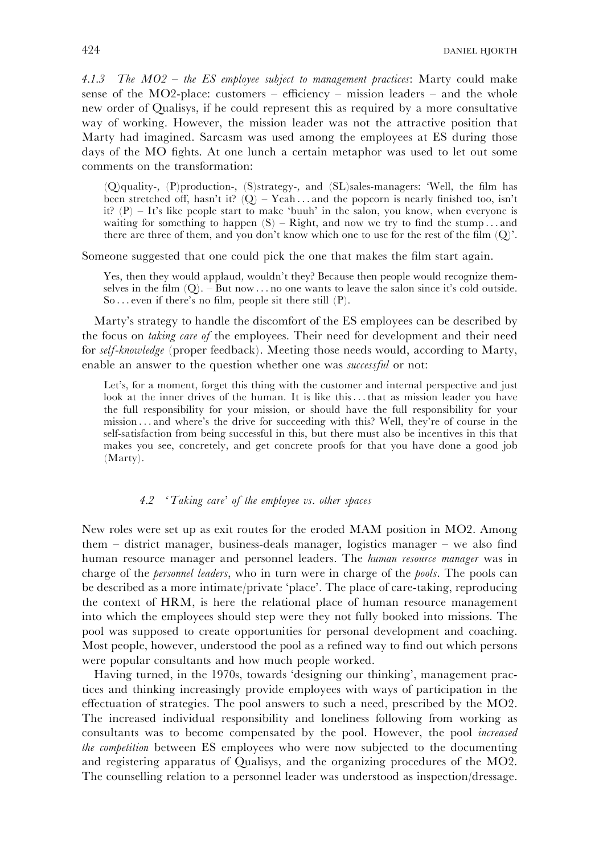4.1.3 The  $MO2$  – the ES employee subject to management practices: Marty could make sense of the MO2-place: customers – efficiency – mission leaders – and the whole new order of Qualisys, if he could represent this as required by a more consultative way of working. However, the mission leader was not the attractive position that Marty had imagined. Sarcasm was used among the employees at ES during those days of the MO fights. At one lunch a certain metaphor was used to let out some comments on the transformation:

(Q)quality-, (P)production-, (S)strategy-, and (SL)sales-managers: 'Well, the film has been stretched off, hasn't it? (Q) – Yeah ... and the popcorn is nearly finished too, isn't it?  $(P)$  – It's like people start to make 'buuh' in the salon, you know, when everyone is waiting for something to happen  $(S)$  – Right, and now we try to find the stump... and there are three of them, and you don't know which one to use for the rest of the film  $(Q)$ .

Someone suggested that one could pick the one that makes the film start again.

Yes, then they would applaud, wouldn't they? Because then people would recognize themselves in the film  $(Q)$ . – But now ... no one wants to leave the salon since it's cold outside. So ... even if there's no film, people sit there still (P).

Marty's strategy to handle the discomfort of the ES employees can be described by the focus on taking care of the employees. Their need for development and their need for self-knowledge (proper feedback). Meeting those needs would, according to Marty, enable an answer to the question whether one was successful or not:

Let's, for a moment, forget this thing with the customer and internal perspective and just look at the inner drives of the human. It is like this ...that as mission leader you have the full responsibility for your mission, or should have the full responsibility for your mission ... and where's the drive for succeeding with this? Well, they're of course in the self-satisfaction from being successful in this, but there must also be incentives in this that makes you see, concretely, and get concrete proofs for that you have done a good job (Marty).

### 4.2 'Taking care' of the employee vs. other spaces

New roles were set up as exit routes for the eroded MAM position in MO2. Among them – district manager, business-deals manager, logistics manager – we also find human resource manager and personnel leaders. The human resource manager was in charge of the *personnel leaders*, who in turn were in charge of the *pools*. The pools can be described as a more intimate/private 'place'. The place of care-taking, reproducing the context of HRM, is here the relational place of human resource management into which the employees should step were they not fully booked into missions. The pool was supposed to create opportunities for personal development and coaching. Most people, however, understood the pool as a refined way to find out which persons were popular consultants and how much people worked.

Having turned, in the 1970s, towards 'designing our thinking', management practices and thinking increasingly provide employees with ways of participation in the effectuation of strategies. The pool answers to such a need, prescribed by the MO2. The increased individual responsibility and loneliness following from working as consultants was to become compensated by the pool. However, the pool increased the competition between ES employees who were now subjected to the documenting and registering apparatus of Qualisys, and the organizing procedures of the MO2. The counselling relation to a personnel leader was understood as inspection/dressage.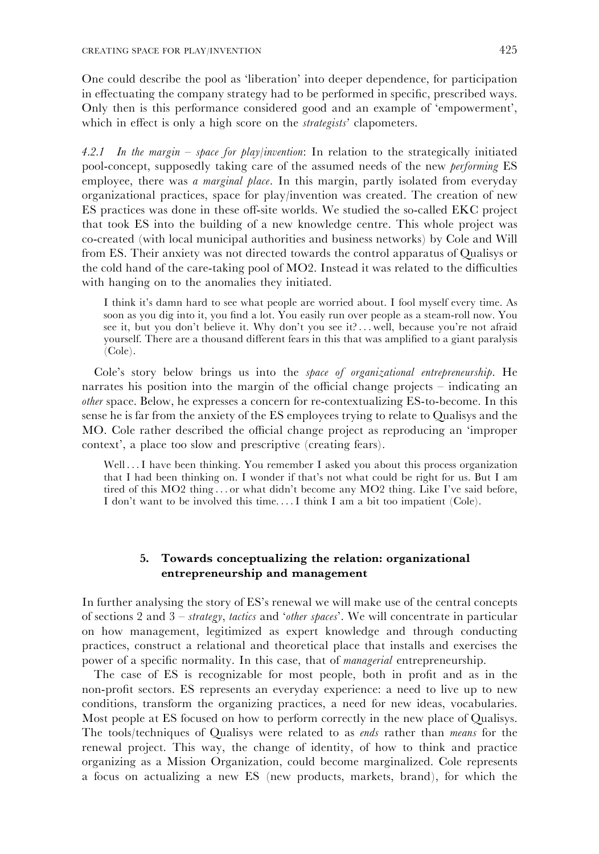One could describe the pool as 'liberation' into deeper dependence, for participation in effectuating the company strategy had to be performed in specific, prescribed ways. Only then is this performance considered good and an example of 'empowerment', which in effect is only a high score on the *strategists'* clapometers.

4.2.1 In the margin – space for play/invention: In relation to the strategically initiated pool-concept, supposedly taking care of the assumed needs of the new performing ES employee, there was a marginal place. In this margin, partly isolated from everyday organizational practices, space for play/invention was created. The creation of new ES practices was done in these off-site worlds. We studied the so-called EKC project that took ES into the building of a new knowledge centre. This whole project was co-created (with local municipal authorities and business networks) by Cole and Will from ES. Their anxiety was not directed towards the control apparatus of Qualisys or the cold hand of the care-taking pool of MO2. Instead it was related to the difficulties with hanging on to the anomalies they initiated.

I think it's damn hard to see what people are worried about. I fool myself every time. As soon as you dig into it, you find a lot. You easily run over people as a steam-roll now. You see it, but you don't believe it. Why don't you see it?... well, because you're not afraid yourself. There are a thousand different fears in this that was amplified to a giant paralysis (Cole).

Cole's story below brings us into the *space of organizational entrepreneurship*. He narrates his position into the margin of the official change projects – indicating an other space. Below, he expresses a concern for re-contextualizing ES-to-become. In this sense he is far from the anxiety of the ES employees trying to relate to Qualisys and the MO. Cole rather described the official change project as reproducing an 'improper context', a place too slow and prescriptive (creating fears).

Well ... I have been thinking. You remember I asked you about this process organization that I had been thinking on. I wonder if that's not what could be right for us. But I am tired of this MO2 thing ... or what didn't become any MO2 thing. Like I've said before, I don't want to be involved this time. ... I think I am a bit too impatient (Cole).

# 5. Towards conceptualizing the relation: organizational entrepreneurship and management

In further analysing the story of ES's renewal we will make use of the central concepts of sections 2 and  $3$  – *strategy*, *tactics* and *'other spaces'*. We will concentrate in particular on how management, legitimized as expert knowledge and through conducting practices, construct a relational and theoretical place that installs and exercises the power of a specific normality. In this case, that of *managerial* entrepreneurship.

The case of ES is recognizable for most people, both in profit and as in the non-profit sectors. ES represents an everyday experience: a need to live up to new conditions, transform the organizing practices, a need for new ideas, vocabularies. Most people at ES focused on how to perform correctly in the new place of Qualisys. The tools/techniques of Qualisys were related to as ends rather than means for the renewal project. This way, the change of identity, of how to think and practice organizing as a Mission Organization, could become marginalized. Cole represents a focus on actualizing a new ES (new products, markets, brand), for which the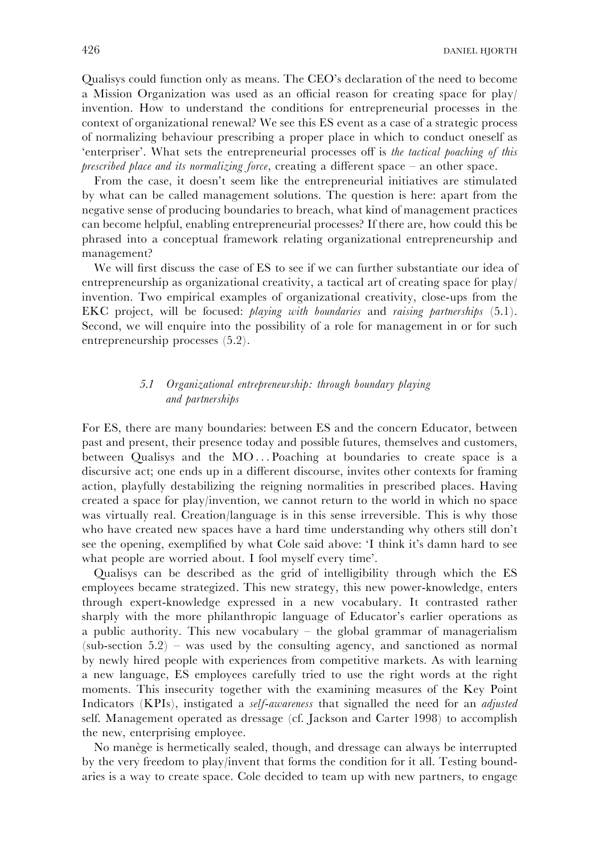Qualisys could function only as means. The CEO's declaration of the need to become a Mission Organization was used as an official reason for creating space for play/ invention. How to understand the conditions for entrepreneurial processes in the context of organizational renewal? We see this ES event as a case of a strategic process of normalizing behaviour prescribing a proper place in which to conduct oneself as 'enterpriser'. What sets the entrepreneurial processes off is the tactical poaching of this prescribed place and its normalizing force, creating a different space – an other space.

From the case, it doesn't seem like the entrepreneurial initiatives are stimulated by what can be called management solutions. The question is here: apart from the negative sense of producing boundaries to breach, what kind of management practices can become helpful, enabling entrepreneurial processes? If there are, how could this be phrased into a conceptual framework relating organizational entrepreneurship and management?

We will first discuss the case of ES to see if we can further substantiate our idea of entrepreneurship as organizational creativity, a tactical art of creating space for play/ invention. Two empirical examples of organizational creativity, close-ups from the EKC project, will be focused: *playing with boundaries* and *raising partnerships* (5.1). Second, we will enquire into the possibility of a role for management in or for such entrepreneurship processes (5.2).

# 5.1 Organizational entrepreneurship: through boundary playing and partnerships

For ES, there are many boundaries: between ES and the concern Educator, between past and present, their presence today and possible futures, themselves and customers, between Qualisys and the MO ... Poaching at boundaries to create space is a discursive act; one ends up in a different discourse, invites other contexts for framing action, playfully destabilizing the reigning normalities in prescribed places. Having created a space for play/invention, we cannot return to the world in which no space was virtually real. Creation/language is in this sense irreversible. This is why those who have created new spaces have a hard time understanding why others still don't see the opening, exemplified by what Cole said above: 'I think it's damn hard to see what people are worried about. I fool myself every time'.

Qualisys can be described as the grid of intelligibility through which the ES employees became strategized. This new strategy, this new power-knowledge, enters through expert-knowledge expressed in a new vocabulary. It contrasted rather sharply with the more philanthropic language of Educator's earlier operations as a public authority. This new vocabulary – the global grammar of managerialism  $(sub-section 5.2)$  – was used by the consulting agency, and sanctioned as normal by newly hired people with experiences from competitive markets. As with learning a new language, ES employees carefully tried to use the right words at the right moments. This insecurity together with the examining measures of the Key Point Indicators (KPIs), instigated a *self-awareness* that signalled the need for an *adjusted* self. Management operated as dressage (cf. Jackson and Carter 1998) to accomplish the new, enterprising employee.

No manege is hermetically sealed, though, and dressage can always be interrupted by the very freedom to play/invent that forms the condition for it all. Testing boundaries is a way to create space. Cole decided to team up with new partners, to engage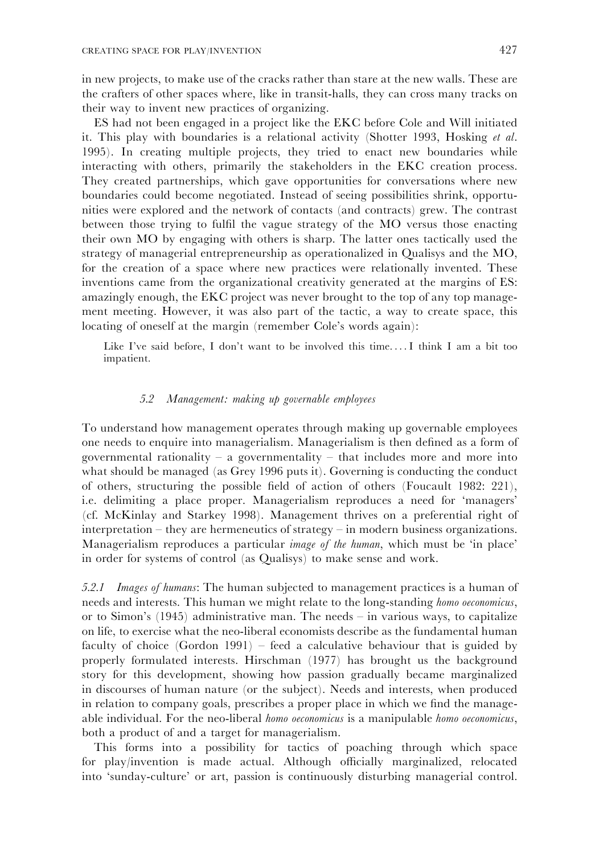in new projects, to make use of the cracks rather than stare at the new walls. These are the crafters of other spaces where, like in transit-halls, they can cross many tracks on their way to invent new practices of organizing.

ES had not been engaged in a project like the EKC before Cole and Will initiated it. This play with boundaries is a relational activity (Shotter 1993, Hosking et al. 1995). In creating multiple projects, they tried to enact new boundaries while interacting with others, primarily the stakeholders in the EKC creation process. They created partnerships, which gave opportunities for conversations where new boundaries could become negotiated. Instead of seeing possibilities shrink, opportunities were explored and the network of contacts (and contracts) grew. The contrast between those trying to fulfil the vague strategy of the MO versus those enacting their own MO by engaging with others is sharp. The latter ones tactically used the strategy of managerial entrepreneurship as operationalized in Qualisys and the MO, for the creation of a space where new practices were relationally invented. These inventions came from the organizational creativity generated at the margins of ES: amazingly enough, the EKC project was never brought to the top of any top management meeting. However, it was also part of the tactic, a way to create space, this locating of oneself at the margin (remember Cole's words again):

Like I've said before, I don't want to be involved this time. ... I think I am a bit too impatient.

### 5.2 Management: making up governable employees

To understand how management operates through making up governable employees one needs to enquire into managerialism. Managerialism is then defined as a form of governmental rationality – a governmentality – that includes more and more into what should be managed (as Grey 1996 puts it). Governing is conducting the conduct of others, structuring the possible field of action of others (Foucault 1982: 221), i.e. delimiting a place proper. Managerialism reproduces a need for 'managers' (cf. McKinlay and Starkey 1998). Management thrives on a preferential right of interpretation – they are hermeneutics of strategy – in modern business organizations. Managerialism reproduces a particular *image of the human*, which must be 'in place' in order for systems of control (as Qualisys) to make sense and work.

5.2.1 Images of humans: The human subjected to management practices is a human of needs and interests. This human we might relate to the long-standing *homo oeconomicus*, or to Simon's (1945) administrative man. The needs – in various ways, to capitalize on life, to exercise what the neo-liberal economists describe as the fundamental human faculty of choice (Gordon 1991) – feed a calculative behaviour that is guided by properly formulated interests. Hirschman (1977) has brought us the background story for this development, showing how passion gradually became marginalized in discourses of human nature (or the subject). Needs and interests, when produced in relation to company goals, prescribes a proper place in which we find the manageable individual. For the neo-liberal homo oeconomicus is a manipulable homo oeconomicus, both a product of and a target for managerialism.

This forms into a possibility for tactics of poaching through which space for play/invention is made actual. Although officially marginalized, relocated into 'sunday-culture' or art, passion is continuously disturbing managerial control.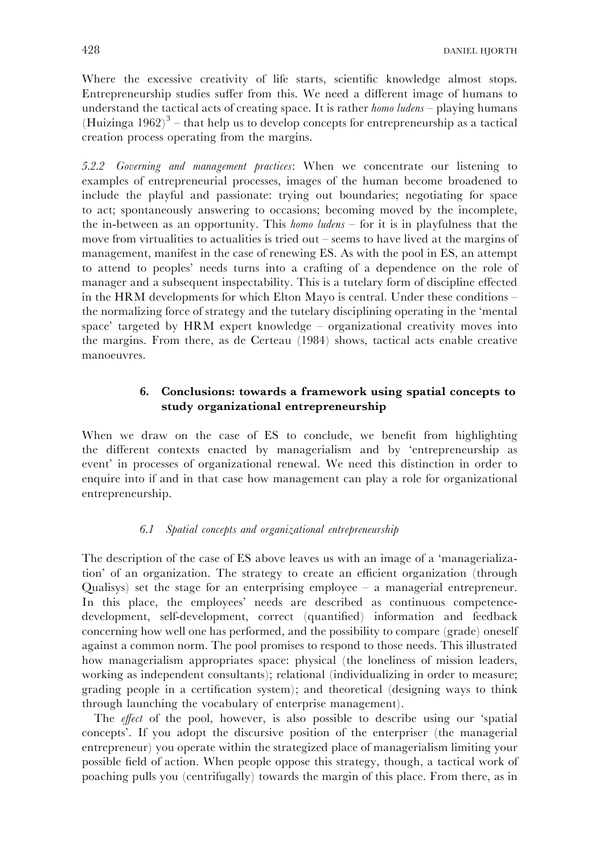Where the excessive creativity of life starts, scientific knowledge almost stops. Entrepreneurship studies suffer from this. We need a different image of humans to understand the tactical acts of creating space. It is rather *homo ludens* – playing humans (Huizinga  $1962$ )<sup>3</sup> – that help us to develop concepts for entrepreneurship as a tactical creation process operating from the margins.

5.2.2 Governing and management practices: When we concentrate our listening to examples of entrepreneurial processes, images of the human become broadened to include the playful and passionate: trying out boundaries; negotiating for space to act; spontaneously answering to occasions; becoming moved by the incomplete, the in-between as an opportunity. This *homo ludens* – for it is in playfulness that the move from virtualities to actualities is tried out – seems to have lived at the margins of management, manifest in the case of renewing ES. As with the pool in ES, an attempt to attend to peoples' needs turns into a crafting of a dependence on the role of manager and a subsequent inspectability. This is a tutelary form of discipline effected in the HRM developments for which Elton Mayo is central. Under these conditions – the normalizing force of strategy and the tutelary disciplining operating in the 'mental space' targeted by HRM expert knowledge – organizational creativity moves into the margins. From there, as de Certeau (1984) shows, tactical acts enable creative manoeuvres.

# 6. Conclusions: towards a framework using spatial concepts to study organizational entrepreneurship

When we draw on the case of ES to conclude, we benefit from highlighting the different contexts enacted by managerialism and by 'entrepreneurship as event' in processes of organizational renewal. We need this distinction in order to enquire into if and in that case how management can play a role for organizational entrepreneurship.

# 6.1 Spatial concepts and organizational entrepreneurship

The description of the case of ES above leaves us with an image of a 'managerialization' of an organization. The strategy to create an efficient organization (through Qualisys) set the stage for an enterprising employee – a managerial entrepreneur. In this place, the employees' needs are described as continuous competencedevelopment, self-development, correct (quantified) information and feedback concerning how well one has performed, and the possibility to compare (grade) oneself against a common norm. The pool promises to respond to those needs. This illustrated how managerialism appropriates space: physical (the loneliness of mission leaders, working as independent consultants); relational (individualizing in order to measure; grading people in a certification system); and theoretical (designing ways to think through launching the vocabulary of enterprise management).

The *effect* of the pool, however, is also possible to describe using our 'spatial concepts'. If you adopt the discursive position of the enterpriser (the managerial entrepreneur) you operate within the strategized place of managerialism limiting your possible field of action. When people oppose this strategy, though, a tactical work of poaching pulls you (centrifugally) towards the margin of this place. From there, as in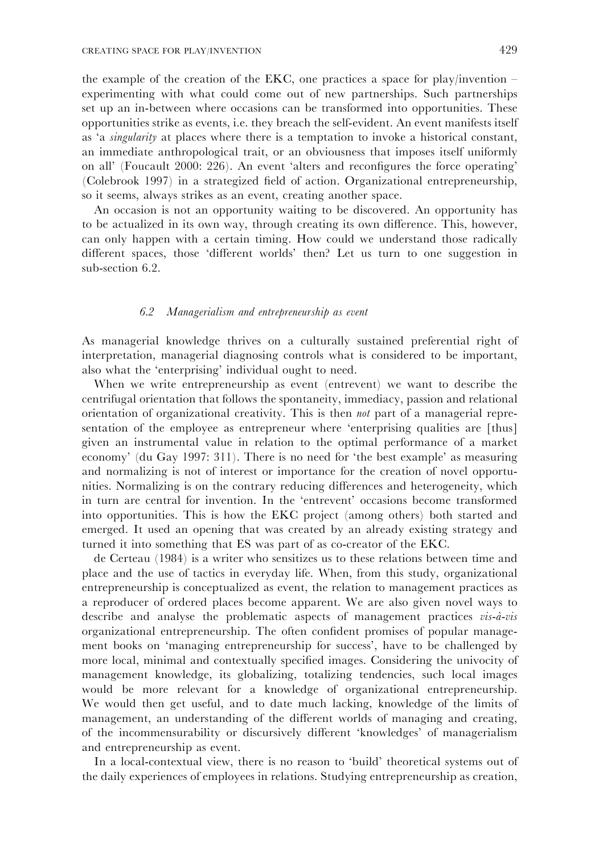the example of the creation of the EKC, one practices a space for play/invention – experimenting with what could come out of new partnerships. Such partnerships set up an in-between where occasions can be transformed into opportunities. These opportunities strike as events, i.e. they breach the self-evident. An event manifests itself as 'a singularity at places where there is a temptation to invoke a historical constant, an immediate anthropological trait, or an obviousness that imposes itself uniformly on all' (Foucault 2000: 226). An event 'alters and reconfigures the force operating' (Colebrook 1997) in a strategized field of action. Organizational entrepreneurship, so it seems, always strikes as an event, creating another space.

An occasion is not an opportunity waiting to be discovered. An opportunity has to be actualized in its own way, through creating its own difference. This, however, can only happen with a certain timing. How could we understand those radically different spaces, those 'different worlds' then? Let us turn to one suggestion in sub-section 6.2.

#### 6.2 Managerialism and entrepreneurship as event

As managerial knowledge thrives on a culturally sustained preferential right of interpretation, managerial diagnosing controls what is considered to be important, also what the 'enterprising' individual ought to need.

When we write entrepreneurship as event (entrevent) we want to describe the centrifugal orientation that follows the spontaneity, immediacy, passion and relational orientation of organizational creativity. This is then not part of a managerial representation of the employee as entrepreneur where 'enterprising qualities are [thus] given an instrumental value in relation to the optimal performance of a market economy' (du Gay 1997: 311). There is no need for 'the best example' as measuring and normalizing is not of interest or importance for the creation of novel opportunities. Normalizing is on the contrary reducing differences and heterogeneity, which in turn are central for invention. In the 'entrevent' occasions become transformed into opportunities. This is how the EKC project (among others) both started and emerged. It used an opening that was created by an already existing strategy and turned it into something that ES was part of as co-creator of the EKC.

de Certeau (1984) is a writer who sensitizes us to these relations between time and place and the use of tactics in everyday life. When, from this study, organizational entrepreneurship is conceptualized as event, the relation to management practices as a reproducer of ordered places become apparent. We are also given novel ways to describe and analyse the problematic aspects of management practices  $vis\text{-}a\text{-}vis$ organizational entrepreneurship. The often confident promises of popular management books on 'managing entrepreneurship for success', have to be challenged by more local, minimal and contextually specified images. Considering the univocity of management knowledge, its globalizing, totalizing tendencies, such local images would be more relevant for a knowledge of organizational entrepreneurship. We would then get useful, and to date much lacking, knowledge of the limits of management, an understanding of the different worlds of managing and creating, of the incommensurability or discursively different 'knowledges' of managerialism and entrepreneurship as event.

In a local-contextual view, there is no reason to 'build' theoretical systems out of the daily experiences of employees in relations. Studying entrepreneurship as creation,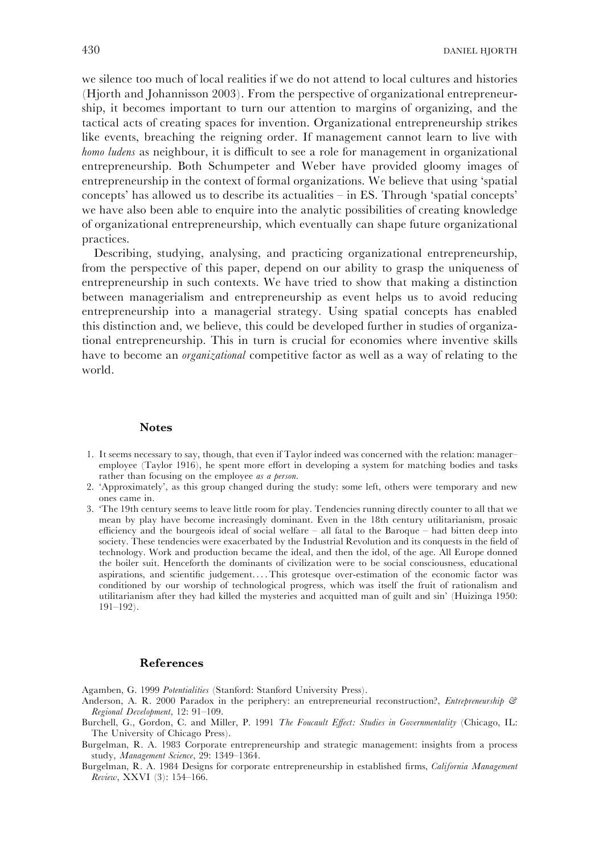we silence too much of local realities if we do not attend to local cultures and histories (Hjorth and Johannisson 2003). From the perspective of organizational entrepreneurship, it becomes important to turn our attention to margins of organizing, and the tactical acts of creating spaces for invention. Organizational entrepreneurship strikes like events, breaching the reigning order. If management cannot learn to live with homo ludens as neighbour, it is difficult to see a role for management in organizational entrepreneurship. Both Schumpeter and Weber have provided gloomy images of entrepreneurship in the context of formal organizations. We believe that using 'spatial concepts' has allowed us to describe its actualities – in ES. Through 'spatial concepts' we have also been able to enquire into the analytic possibilities of creating knowledge of organizational entrepreneurship, which eventually can shape future organizational practices.

Describing, studying, analysing, and practicing organizational entrepreneurship, from the perspective of this paper, depend on our ability to grasp the uniqueness of entrepreneurship in such contexts. We have tried to show that making a distinction between managerialism and entrepreneurship as event helps us to avoid reducing entrepreneurship into a managerial strategy. Using spatial concepts has enabled this distinction and, we believe, this could be developed further in studies of organizational entrepreneurship. This in turn is crucial for economies where inventive skills have to become an *organizational* competitive factor as well as a way of relating to the world.

#### Notes

- 1. It seems necessary to say, though, that even if Taylor indeed was concerned with the relation: manager– employee (Taylor 1916), he spent more effort in developing a system for matching bodies and tasks rather than focusing on the employee as a person.
- 2. 'Approximately', as this group changed during the study: some left, others were temporary and new ones came in.
- 3. 'The 19th century seems to leave little room for play. Tendencies running directly counter to all that we mean by play have become increasingly dominant. Even in the 18th century utilitarianism, prosaic efficiency and the bourgeois ideal of social welfare – all fatal to the Baroque – had bitten deep into society. These tendencies were exacerbated by the Industrial Revolution and its conquests in the field of technology. Work and production became the ideal, and then the idol, of the age. All Europe donned the boiler suit. Henceforth the dominants of civilization were to be social consciousness, educational aspirations, and scientific judgement. ... This grotesque over-estimation of the economic factor was conditioned by our worship of technological progress, which was itself the fruit of rationalism and utilitarianism after they had killed the mysteries and acquitted man of guilt and sin' (Huizinga 1950: 191–192).

#### References

Agamben, G. 1999 Potentialities (Stanford: Stanford University Press).

- Anderson, A. R. 2000 Paradox in the periphery: an entrepreneurial reconstruction?, *Entrepreneurship*  $\mathcal{C}$ Regional Development, 12: 91–109.
- Burchell, G., Gordon, C. and Miller, P. 1991 The Foucault Effect: Studies in Governmentality (Chicago, IL: The University of Chicago Press).
- Burgelman, R. A. 1983 Corporate entrepreneurship and strategic management: insights from a process study, Management Science, 29: 1349–1364.
- Burgelman, R. A. 1984 Designs for corporate entrepreneurship in established firms, California Management Review, XXVI (3): 154–166.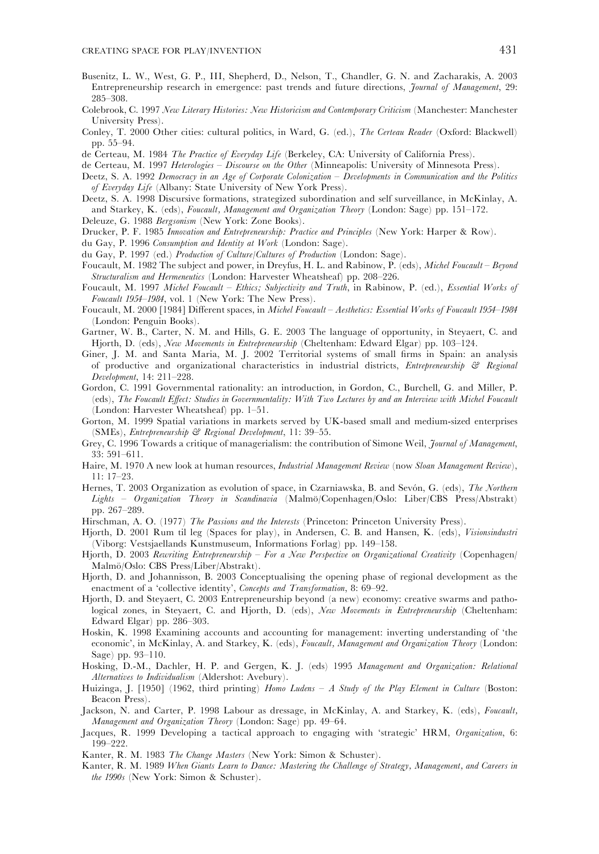- Busenitz, L. W., West, G. P., III, Shepherd, D., Nelson, T., Chandler, G. N. and Zacharakis, A. 2003 Entrepreneurship research in emergence: past trends and future directions, *Journal of Management*, 29: 285–308.
- Colebrook, C. 1997 New Literary Histories: New Historicism and Contemporary Criticism (Manchester: Manchester University Press).
- Conley, T. 2000 Other cities: cultural politics, in Ward, G. (ed.), The Certeau Reader (Oxford: Blackwell) pp. 55–94.
- de Certeau, M. 1984 The Practice of Everyday Life (Berkeley, CA: University of California Press).
- de Certeau, M. 1997 Heterologies Discourse on the Other (Minneapolis: University of Minnesota Press).
- Deetz, S. A. 1992 Democracy in an Age of Corporate Colonization Developments in Communication and the Politics of Everyday Life (Albany: State University of New York Press).
- Deetz, S. A. 1998 Discursive formations, strategized subordination and self surveillance, in McKinlay, A. and Starkey, K. (eds), Foucault, Management and Organization Theory (London: Sage) pp. 151-172.
- Deleuze, G. 1988 Bergsonism (New York: Zone Books).
- Drucker, P. F. 1985 Innovation and Entrepreneurship: Practice and Principles (New York: Harper & Row).
- du Gay, P. 1996 Consumption and Identity at Work (London: Sage).
- du Gay, P. 1997 (ed.) Production of Culture/Cultures of Production (London: Sage).
- Foucault, M. 1982 The subject and power, in Dreyfus, H. L. and Rabinow, P. (eds), Michel Foucault Beyond Structuralism and Hermeneutics (London: Harvester Wheatsheaf) pp. 208–226.
- Foucault, M. 1997 Michel Foucault Ethics; Subjectivity and Truth, in Rabinow, P. (ed.), Essential Works of Foucault 1954–1984, vol. 1 (New York: The New Press).
- Foucault, M. 2000 [1984] Different spaces, in Michel Foucault Aesthetics: Essential Works of Foucault 1954–1984 (London: Penguin Books).
- Gartner, W. B., Carter, N. M. and Hills, G. E. 2003 The language of opportunity, in Steyaert, C. and Hjorth, D. (eds), New Movements in Entrepreneurship (Cheltenham: Edward Elgar) pp. 103–124.
- Giner, J. M. and Santa Maria, M. J. 2002 Territorial systems of small firms in Spain: an analysis of productive and organizational characteristics in industrial districts, Entrepreneurship  $\mathcal{C}$  Regional Development, 14: 211–228.
- Gordon, C. 1991 Governmental rationality: an introduction, in Gordon, C., Burchell, G. and Miller, P. (eds), The Foucault Effect: Studies in Governmentality: With Two Lectures by and an Interview with Michel Foucault (London: Harvester Wheatsheaf) pp. 1–51.
- Gorton, M. 1999 Spatial variations in markets served by UK-based small and medium-sized enterprises (SMEs), Entrepreneurship & Regional Development, 11: 39–55.
- Grey, C. 1996 Towards a critique of managerialism: the contribution of Simone Weil, *Journal of Management*, 33: 591–611.
- Haire, M. 1970 A new look at human resources, Industrial Management Review (now Sloan Management Review), 11: 17–23.
- Hernes, T. 2003 Organization as evolution of space, in Czarniawska, B. and Sevón, G. (eds), The Northern Lights - Organization Theory in Scandinavia (Malmö/Copenhagen/Oslo: Liber/CBS Press/Abstrakt) pp. 267–289.
- Hirschman, A. O. (1977) The Passions and the Interests (Princeton: Princeton University Press).
- Hjorth, D. 2001 Rum til leg (Spaces for play), in Andersen, C. B. and Hansen, K. (eds), Visionsindustri (Viborg: Vestsjaellands Kunstmuseum, Informations Forlag) pp. 149–158.
- Hjorth, D. 2003 Rewriting Entrepreneurship For a New Perspective on Organizational Creativity (Copenhagen/ Malmö/Oslo: CBS Press/Liber/Abstrakt).
- Hjorth, D. and Johannisson, B. 2003 Conceptualising the opening phase of regional development as the enactment of a 'collective identity', Concepts and Transformation, 8: 69-92.
- Hjorth, D. and Steyaert, C. 2003 Entrepreneurship beyond (a new) economy: creative swarms and pathological zones, in Steyaert, C. and Hjorth, D. (eds), New Movements in Entrepreneurship (Cheltenham: Edward Elgar) pp. 286–303.
- Hoskin, K. 1998 Examining accounts and accounting for management: inverting understanding of 'the economic', in McKinlay, A. and Starkey, K. (eds), Foucault, Management and Organization Theory (London: Sage) pp. 93–110.
- Hosking, D.-M., Dachler, H. P. and Gergen, K. J. (eds) 1995 Management and Organization: Relational Alternatives to Individualism (Aldershot: Avebury).
- Huizinga, J.  $[1950]$  (1962, third printing) Homo Ludens A Study of the Play Element in Culture (Boston: Beacon Press).
- Jackson, N. and Carter, P. 1998 Labour as dressage, in McKinlay, A. and Starkey, K. (eds), Foucault, Management and Organization Theory (London: Sage) pp. 49–64.
- Jacques, R. 1999 Developing a tactical approach to engaging with 'strategic' HRM, Organization, 6: 199–222.
- Kanter, R. M. 1983 The Change Masters (New York: Simon & Schuster).
- Kanter, R. M. 1989 When Giants Learn to Dance: Mastering the Challenge of Strategy, Management, and Careers in the 1990s (New York: Simon & Schuster).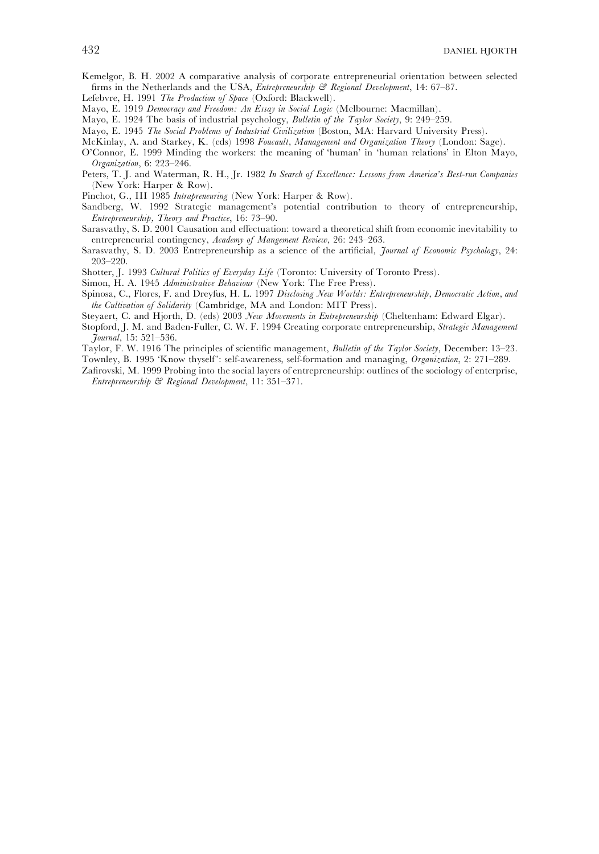- Kemelgor, B. H. 2002 A comparative analysis of corporate entrepreneurial orientation between selected firms in the Netherlands and the USA, *Entrepreneurship*  $\mathcal{C}$  Regional Development, 14: 67–87.
- Lefebvre, H. 1991 The Production of Space (Oxford: Blackwell).
- Mayo, E. 1919 Democracy and Freedom: An Essay in Social Logic (Melbourne: Macmillan).
- Mayo, E. 1924 The basis of industrial psychology, *Bulletin of the Taylor Society*, 9: 249–259.
- Mayo, E. 1945 The Social Problems of Industrial Civilization (Boston, MA: Harvard University Press).
- McKinlay, A. and Starkey, K. (eds) 1998 Foucault, Management and Organization Theory (London: Sage).
- O'Connor, E. 1999 Minding the workers: the meaning of 'human' in 'human relations' in Elton Mayo, Organization, 6: 223–246.
- Peters, T. J. and Waterman, R. H., Jr. 1982 In Search of Excellence: Lessons from America's Best-run Companies (New York: Harper & Row).
- Pinchot, G., III 1985 Intrapreneuring (New York: Harper & Row).
- Sandberg, W. 1992 Strategic management's potential contribution to theory of entrepreneurship, Entrepreneurship, Theory and Practice, 16: 73–90.
- Sarasvathy, S. D. 2001 Causation and effectuation: toward a theoretical shift from economic inevitability to entrepreneurial contingency, Academy of Mangement Review, 26: 243–263.
- Sarasvathy, S. D. 2003 Entrepreneurship as a science of the artificial, *Journal of Economic Psychology*, 24: 203–220.
- Shotter, J. 1993 Cultural Politics of Everyday Life (Toronto: University of Toronto Press).

Simon, H. A. 1945 Administrative Behaviour (New York: The Free Press).

- Spinosa, C., Flores, F. and Dreyfus, H. L. 1997 Disclosing New Worlds: Entrepreneurship, Democratic Action, and the Cultivation of Solidarity (Cambridge, MA and London: MIT Press).
- Steyaert, C. and Hjorth, D. (eds) 2003 New Movements in Entrepreneurship (Cheltenham: Edward Elgar).
- Stopford, J. M. and Baden-Fuller, C. W. F. 1994 Creating corporate entrepreneurship, Strategic Management Journal, 15: 521–536.
- Taylor, F. W. 1916 The principles of scientific management, Bulletin of the Taylor Society, December: 13–23.
- Townley, B. 1995 'Know thyself': self-awareness, self-formation and managing, Organization, 2: 271–289.
- Zafirovski, M. 1999 Probing into the social layers of entrepreneurship: outlines of the sociology of enterprise, Entrepreneurship & Regional Development, 11: 351–371.